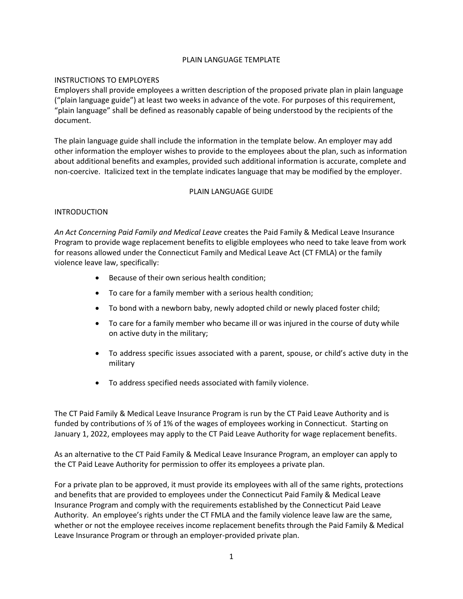## PLAIN LANGUAGE TEMPLATE

## INSTRUCTIONS TO EMPLOYERS

Employers shall provide employees a written description of the proposed private plan in plain language ("plain language guide") at least two weeks in advance of the vote. For purposes of this requirement, "plain language" shall be defined as reasonably capable of being understood by the recipients of the document.

The plain language guide shall include the information in the template below. An employer may add other information the employer wishes to provide to the employees about the plan, such as information about additional benefits and examples, provided such additional information is accurate, complete and non-coercive. Italicized text in the template indicates language that may be modified by the employer.

#### PLAIN LANGUAGE GUIDE

## INTRODUCTION

*An Act Concerning Paid Family and Medical Leave* creates the Paid Family & Medical Leave Insurance Program to provide wage replacement benefits to eligible employees who need to take leave from work for reasons allowed under the Connecticut Family and Medical Leave Act (CT FMLA) or the family violence leave law, specifically:

- Because of their own serious health condition;
- To care for a family member with a serious health condition;
- To bond with a newborn baby, newly adopted child or newly placed foster child;
- To care for a family member who became ill or was injured in the course of duty while on active duty in the military;
- To address specific issues associated with a parent, spouse, or child's active duty in the military
- To address specified needs associated with family violence.

The CT Paid Family & Medical Leave Insurance Program is run by the CT Paid Leave Authority and is funded by contributions of ½ of 1% of the wages of employees working in Connecticut. Starting on January 1, 2022, employees may apply to the CT Paid Leave Authority for wage replacement benefits.

As an alternative to the CT Paid Family & Medical Leave Insurance Program, an employer can apply to the CT Paid Leave Authority for permission to offer its employees a private plan.

For a private plan to be approved, it must provide its employees with all of the same rights, protections and benefits that are provided to employees under the Connecticut Paid Family & Medical Leave Insurance Program and comply with the requirements established by the Connecticut Paid Leave Authority. An employee's rights under the CT FMLA and the family violence leave law are the same, whether or not the employee receives income replacement benefits through the Paid Family & Medical Leave Insurance Program or through an employer-provided private plan.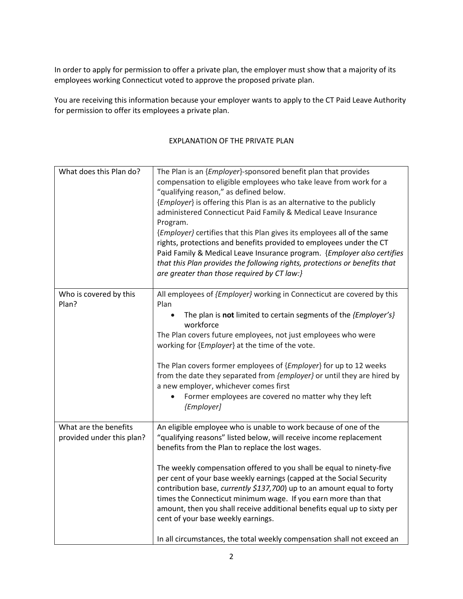In order to apply for permission to offer a private plan, the employer must show that a majority of its employees working Connecticut voted to approve the proposed private plan.

You are receiving this information because your employer wants to apply to the CT Paid Leave Authority for permission to offer its employees a private plan.

# EXPLANATION OF THE PRIVATE PLAN

| What does this Plan do?                            | The Plan is an {Employer}-sponsored benefit plan that provides<br>compensation to eligible employees who take leave from work for a<br>"qualifying reason," as defined below.<br>{Employer} is offering this Plan is as an alternative to the publicly<br>administered Connecticut Paid Family & Medical Leave Insurance<br>Program.<br>{Employer} certifies that this Plan gives its employees all of the same<br>rights, protections and benefits provided to employees under the CT<br>Paid Family & Medical Leave Insurance program. {Employer also certifies<br>that this Plan provides the following rights, protections or benefits that<br>are greater than those required by CT law:} |
|----------------------------------------------------|------------------------------------------------------------------------------------------------------------------------------------------------------------------------------------------------------------------------------------------------------------------------------------------------------------------------------------------------------------------------------------------------------------------------------------------------------------------------------------------------------------------------------------------------------------------------------------------------------------------------------------------------------------------------------------------------|
| Who is covered by this<br>Plan?                    | All employees of {Employer} working in Connecticut are covered by this<br>Plan<br>The plan is not limited to certain segments of the {Employer's}<br>workforce<br>The Plan covers future employees, not just employees who were<br>working for {Employer} at the time of the vote.<br>The Plan covers former employees of {Employer} for up to 12 weeks<br>from the date they separated from {employer} or until they are hired by<br>a new employer, whichever comes first<br>Former employees are covered no matter why they left<br>{Employer]                                                                                                                                              |
| What are the benefits<br>provided under this plan? | An eligible employee who is unable to work because of one of the<br>"qualifying reasons" listed below, will receive income replacement<br>benefits from the Plan to replace the lost wages.<br>The weekly compensation offered to you shall be equal to ninety-five<br>per cent of your base weekly earnings (capped at the Social Security<br>contribution base, currently \$137,700) up to an amount equal to forty<br>times the Connecticut minimum wage. If you earn more than that<br>amount, then you shall receive additional benefits equal up to sixty per<br>cent of your base weekly earnings.<br>In all circumstances, the total weekly compensation shall not exceed an           |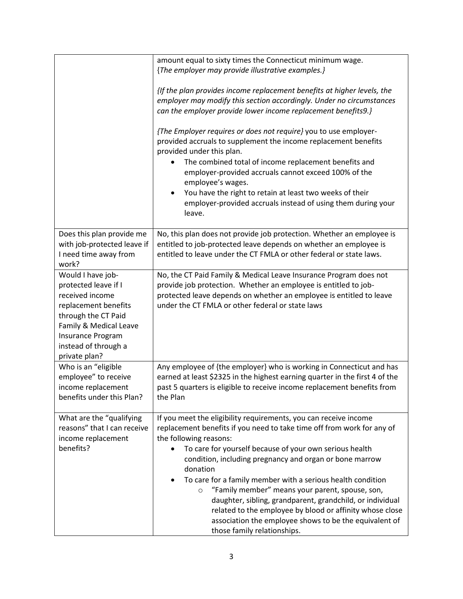|                                                                                                                                                                                                     | amount equal to sixty times the Connecticut minimum wage.                                                                                                                                                                                                                                                                                                                                                                                                                                                                                                                                                                                                          |
|-----------------------------------------------------------------------------------------------------------------------------------------------------------------------------------------------------|--------------------------------------------------------------------------------------------------------------------------------------------------------------------------------------------------------------------------------------------------------------------------------------------------------------------------------------------------------------------------------------------------------------------------------------------------------------------------------------------------------------------------------------------------------------------------------------------------------------------------------------------------------------------|
|                                                                                                                                                                                                     | {The employer may provide illustrative examples.}                                                                                                                                                                                                                                                                                                                                                                                                                                                                                                                                                                                                                  |
|                                                                                                                                                                                                     | {If the plan provides income replacement benefits at higher levels, the<br>employer may modify this section accordingly. Under no circumstances                                                                                                                                                                                                                                                                                                                                                                                                                                                                                                                    |
|                                                                                                                                                                                                     | can the employer provide lower income replacement benefits9.}                                                                                                                                                                                                                                                                                                                                                                                                                                                                                                                                                                                                      |
|                                                                                                                                                                                                     | {The Employer requires or does not require} you to use employer-<br>provided accruals to supplement the income replacement benefits<br>provided under this plan.                                                                                                                                                                                                                                                                                                                                                                                                                                                                                                   |
|                                                                                                                                                                                                     | The combined total of income replacement benefits and<br>employer-provided accruals cannot exceed 100% of the<br>employee's wages.                                                                                                                                                                                                                                                                                                                                                                                                                                                                                                                                 |
|                                                                                                                                                                                                     | You have the right to retain at least two weeks of their<br>employer-provided accruals instead of using them during your<br>leave.                                                                                                                                                                                                                                                                                                                                                                                                                                                                                                                                 |
| Does this plan provide me<br>with job-protected leave if<br>I need time away from<br>work?                                                                                                          | No, this plan does not provide job protection. Whether an employee is<br>entitled to job-protected leave depends on whether an employee is<br>entitled to leave under the CT FMLA or other federal or state laws.                                                                                                                                                                                                                                                                                                                                                                                                                                                  |
| Would I have job-<br>protected leave if I<br>received income<br>replacement benefits<br>through the CT Paid<br>Family & Medical Leave<br>Insurance Program<br>instead of through a<br>private plan? | No, the CT Paid Family & Medical Leave Insurance Program does not<br>provide job protection. Whether an employee is entitled to job-<br>protected leave depends on whether an employee is entitled to leave<br>under the CT FMLA or other federal or state laws                                                                                                                                                                                                                                                                                                                                                                                                    |
| Who is an "eligible<br>employee" to receive<br>income replacement<br>benefits under this Plan?                                                                                                      | Any employee of {the employer} who is working in Connecticut and has<br>earned at least \$2325 in the highest earning quarter in the first 4 of the<br>past 5 quarters is eligible to receive income replacement benefits from<br>the Plan                                                                                                                                                                                                                                                                                                                                                                                                                         |
| What are the "qualifying<br>reasons" that I can receive<br>income replacement<br>benefits?                                                                                                          | If you meet the eligibility requirements, you can receive income<br>replacement benefits if you need to take time off from work for any of<br>the following reasons:<br>To care for yourself because of your own serious health<br>condition, including pregnancy and organ or bone marrow<br>donation<br>To care for a family member with a serious health condition<br>$\bullet$<br>"Family member" means your parent, spouse, son,<br>$\circ$<br>daughter, sibling, grandparent, grandchild, or individual<br>related to the employee by blood or affinity whose close<br>association the employee shows to be the equivalent of<br>those family relationships. |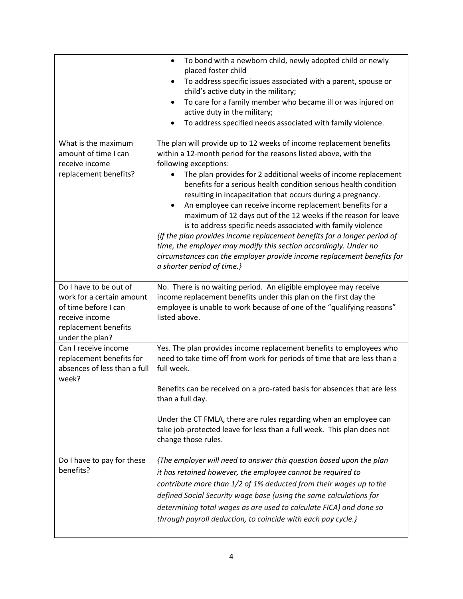|                                                                                                                                          | To bond with a newborn child, newly adopted child or newly<br>$\bullet$<br>placed foster child<br>To address specific issues associated with a parent, spouse or<br>$\bullet$<br>child's active duty in the military;<br>To care for a family member who became ill or was injured on<br>$\bullet$<br>active duty in the military;<br>To address specified needs associated with family violence.                                                                                                                                                                                                                                                                                                                                                                                                                           |
|------------------------------------------------------------------------------------------------------------------------------------------|-----------------------------------------------------------------------------------------------------------------------------------------------------------------------------------------------------------------------------------------------------------------------------------------------------------------------------------------------------------------------------------------------------------------------------------------------------------------------------------------------------------------------------------------------------------------------------------------------------------------------------------------------------------------------------------------------------------------------------------------------------------------------------------------------------------------------------|
| What is the maximum<br>amount of time I can<br>receive income<br>replacement benefits?                                                   | The plan will provide up to 12 weeks of income replacement benefits<br>within a 12-month period for the reasons listed above, with the<br>following exceptions:<br>The plan provides for 2 additional weeks of income replacement<br>benefits for a serious health condition serious health condition<br>resulting in incapacitation that occurs during a pregnancy.<br>An employee can receive income replacement benefits for a<br>maximum of 12 days out of the 12 weeks if the reason for leave<br>is to address specific needs associated with family violence<br>{If the plan provides income replacement benefits for a longer period of<br>time, the employer may modify this section accordingly. Under no<br>circumstances can the employer provide income replacement benefits for<br>a shorter period of time.} |
| Do I have to be out of<br>work for a certain amount<br>of time before I can<br>receive income<br>replacement benefits<br>under the plan? | No. There is no waiting period. An eligible employee may receive<br>income replacement benefits under this plan on the first day the<br>employee is unable to work because of one of the "qualifying reasons"<br>listed above.                                                                                                                                                                                                                                                                                                                                                                                                                                                                                                                                                                                              |
| Can I receive income<br>replacement benefits for<br>absences of less than a full<br>week?                                                | Yes. The plan provides income replacement benefits to employees who<br>need to take time off from work for periods of time that are less than a<br>full week.<br>Benefits can be received on a pro-rated basis for absences that are less<br>than a full day.<br>Under the CT FMLA, there are rules regarding when an employee can<br>take job-protected leave for less than a full week. This plan does not<br>change those rules.                                                                                                                                                                                                                                                                                                                                                                                         |
| Do I have to pay for these<br>benefits?                                                                                                  | {The employer will need to answer this question based upon the plan<br>it has retained however, the employee cannot be required to<br>contribute more than 1/2 of 1% deducted from their wages up to the<br>defined Social Security wage base (using the same calculations for<br>determining total wages as are used to calculate FICA) and done so<br>through payroll deduction, to coincide with each pay cycle.}                                                                                                                                                                                                                                                                                                                                                                                                        |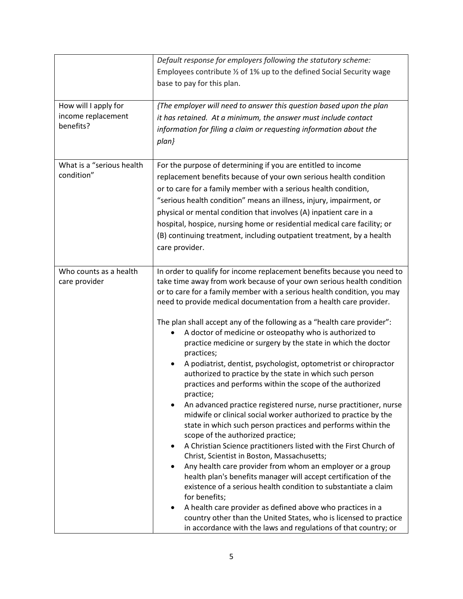|                           | Default response for employers following the statutory scheme:                                                                     |
|---------------------------|------------------------------------------------------------------------------------------------------------------------------------|
|                           | Employees contribute 1/2 of 1% up to the defined Social Security wage                                                              |
|                           | base to pay for this plan.                                                                                                         |
|                           |                                                                                                                                    |
| How will I apply for      | {The employer will need to answer this question based upon the plan                                                                |
| income replacement        | it has retained. At a minimum, the answer must include contact                                                                     |
| benefits?                 | information for filing a claim or requesting information about the                                                                 |
|                           | $plan$ }                                                                                                                           |
|                           |                                                                                                                                    |
| What is a "serious health | For the purpose of determining if you are entitled to income                                                                       |
| condition"                | replacement benefits because of your own serious health condition                                                                  |
|                           | or to care for a family member with a serious health condition,                                                                    |
|                           | "serious health condition" means an illness, injury, impairment, or                                                                |
|                           | physical or mental condition that involves (A) inpatient care in a                                                                 |
|                           | hospital, hospice, nursing home or residential medical care facility; or                                                           |
|                           | (B) continuing treatment, including outpatient treatment, by a health                                                              |
|                           | care provider.                                                                                                                     |
|                           |                                                                                                                                    |
| Who counts as a health    | In order to qualify for income replacement benefits because you need to                                                            |
| care provider             | take time away from work because of your own serious health condition                                                              |
|                           | or to care for a family member with a serious health condition, you may                                                            |
|                           | need to provide medical documentation from a health care provider.                                                                 |
|                           |                                                                                                                                    |
|                           | The plan shall accept any of the following as a "health care provider":                                                            |
|                           | A doctor of medicine or osteopathy who is authorized to                                                                            |
|                           | practice medicine or surgery by the state in which the doctor                                                                      |
|                           | practices;                                                                                                                         |
|                           | A podiatrist, dentist, psychologist, optometrist or chiropractor<br>authorized to practice by the state in which such person       |
|                           | practices and performs within the scope of the authorized                                                                          |
|                           | practice;                                                                                                                          |
|                           | An advanced practice registered nurse, nurse practitioner, nurse                                                                   |
|                           | midwife or clinical social worker authorized to practice by the                                                                    |
|                           | state in which such person practices and performs within the                                                                       |
|                           | scope of the authorized practice;                                                                                                  |
|                           | A Christian Science practitioners listed with the First Church of<br>٠                                                             |
|                           | Christ, Scientist in Boston, Massachusetts;                                                                                        |
|                           | Any health care provider from whom an employer or a group                                                                          |
|                           | health plan's benefits manager will accept certification of the<br>existence of a serious health condition to substantiate a claim |
|                           | for benefits;                                                                                                                      |
|                           | A health care provider as defined above who practices in a                                                                         |
|                           | country other than the United States, who is licensed to practice                                                                  |
|                           | in accordance with the laws and regulations of that country; or                                                                    |